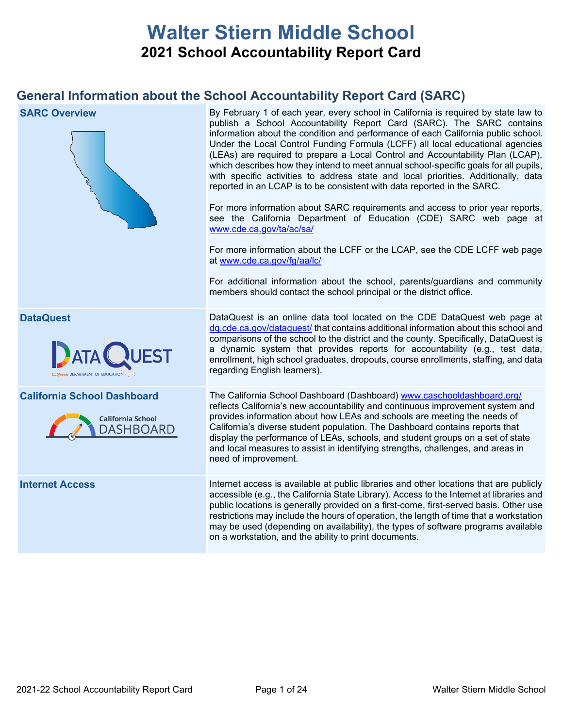# **Walter Stiern Middle School 2021 School Accountability Report Card**

## **General Information about the School Accountability Report Card (SARC)**

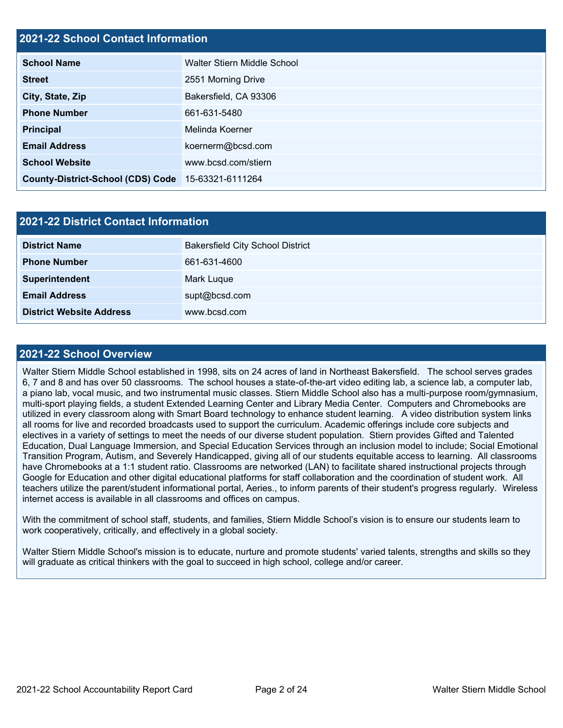## **2021-22 School Contact Information**

| <b>School Name</b>                       | Walter Stiern Middle School |  |  |  |
|------------------------------------------|-----------------------------|--|--|--|
| <b>Street</b>                            | 2551 Morning Drive          |  |  |  |
| City, State, Zip                         | Bakersfield, CA 93306       |  |  |  |
| <b>Phone Number</b>                      | 661-631-5480                |  |  |  |
| <b>Principal</b>                         | Melinda Koerner             |  |  |  |
| <b>Email Address</b>                     | koernerm@bcsd.com           |  |  |  |
| <b>School Website</b>                    | www.bcsd.com/stiern         |  |  |  |
| <b>County-District-School (CDS) Code</b> | 15-63321-6111264            |  |  |  |

| <b>2021-22 District Contact Information</b> |                                         |  |  |  |
|---------------------------------------------|-----------------------------------------|--|--|--|
| <b>District Name</b>                        | <b>Bakersfield City School District</b> |  |  |  |
| <b>Phone Number</b>                         | 661-631-4600                            |  |  |  |
| Superintendent                              | Mark Luque                              |  |  |  |
| <b>Email Address</b>                        | supt@bcsd.com                           |  |  |  |
| <b>District Website Address</b>             | www.bcsd.com                            |  |  |  |

## **2021-22 School Overview**

Walter Stiern Middle School established in 1998, sits on 24 acres of land in Northeast Bakersfield. The school serves grades 6, 7 and 8 and has over 50 classrooms. The school houses a state-of-the-art video editing lab, a science lab, a computer lab, a piano lab, vocal music, and two instrumental music classes. Stiern Middle School also has a multi-purpose room/gymnasium, multi-sport playing fields, a student Extended Learning Center and Library Media Center. Computers and Chromebooks are utilized in every classroom along with Smart Board technology to enhance student learning. A video distribution system links all rooms for live and recorded broadcasts used to support the curriculum. Academic offerings include core subjects and electives in a variety of settings to meet the needs of our diverse student population. Stiern provides Gifted and Talented Education, Dual Language Immersion, and Special Education Services through an inclusion model to include; Social Emotional Transition Program, Autism, and Severely Handicapped, giving all of our students equitable access to learning. All classrooms have Chromebooks at a 1:1 student ratio. Classrooms are networked (LAN) to facilitate shared instructional projects through Google for Education and other digital educational platforms for staff collaboration and the coordination of student work. All teachers utilize the parent/student informational portal, Aeries., to inform parents of their student's progress regularly. Wireless internet access is available in all classrooms and offices on campus.

With the commitment of school staff, students, and families, Stiern Middle School's vision is to ensure our students learn to work cooperatively, critically, and effectively in a global society.

Walter Stiern Middle School's mission is to educate, nurture and promote students' varied talents, strengths and skills so they will graduate as critical thinkers with the goal to succeed in high school, college and/or career.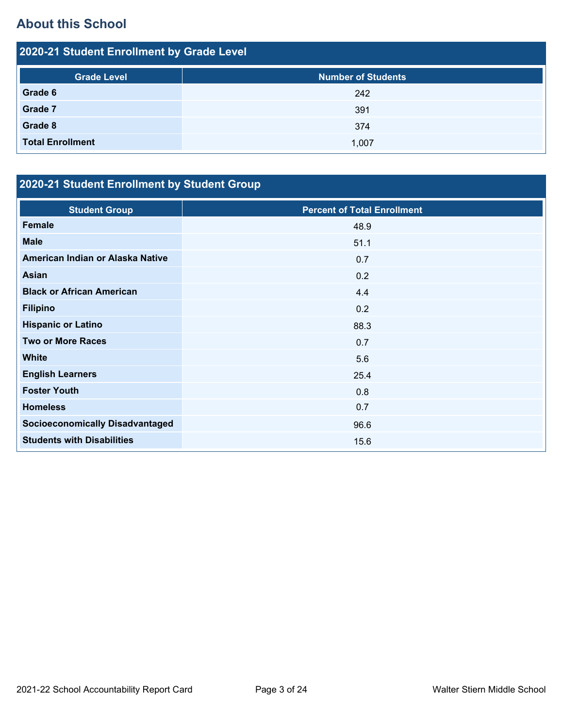## **About this School**

| 2020-21 Student Enrollment by Grade Level |                           |  |  |  |
|-------------------------------------------|---------------------------|--|--|--|
| <b>Grade Level</b>                        | <b>Number of Students</b> |  |  |  |
| Grade 6                                   | 242                       |  |  |  |
| Grade 7                                   | 391                       |  |  |  |
| Grade 8                                   | 374                       |  |  |  |
| <b>Total Enrollment</b>                   | 1.007                     |  |  |  |

# **2020-21 Student Enrollment by Student Group**

| <b>Student Group</b>                   | <b>Percent of Total Enrollment</b> |
|----------------------------------------|------------------------------------|
| <b>Female</b>                          | 48.9                               |
| <b>Male</b>                            | 51.1                               |
| American Indian or Alaska Native       | 0.7                                |
| <b>Asian</b>                           | 0.2                                |
| <b>Black or African American</b>       | 4.4                                |
| <b>Filipino</b>                        | 0.2                                |
| <b>Hispanic or Latino</b>              | 88.3                               |
| <b>Two or More Races</b>               | 0.7                                |
| <b>White</b>                           | 5.6                                |
| <b>English Learners</b>                | 25.4                               |
| <b>Foster Youth</b>                    | 0.8                                |
| <b>Homeless</b>                        | 0.7                                |
| <b>Socioeconomically Disadvantaged</b> | 96.6                               |
| <b>Students with Disabilities</b>      | 15.6                               |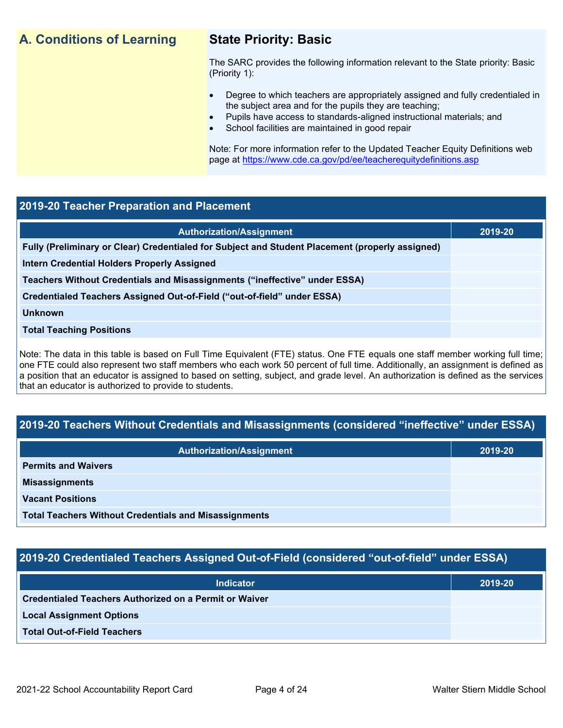## **A. Conditions of Learning State Priority: Basic**

The SARC provides the following information relevant to the State priority: Basic (Priority 1):

- Degree to which teachers are appropriately assigned and fully credentialed in the subject area and for the pupils they are teaching;
	- Pupils have access to standards-aligned instructional materials; and
- School facilities are maintained in good repair

Note: For more information refer to the Updated Teacher Equity Definitions web page at<https://www.cde.ca.gov/pd/ee/teacherequitydefinitions.asp>

## **2019-20 Teacher Preparation and Placement**

| <b>Authorization/Assignment</b>                                                                 | 2019-20 |
|-------------------------------------------------------------------------------------------------|---------|
| Fully (Preliminary or Clear) Credentialed for Subject and Student Placement (properly assigned) |         |
| <b>Intern Credential Holders Properly Assigned</b>                                              |         |
| Teachers Without Credentials and Misassignments ("ineffective" under ESSA)                      |         |
| Credentialed Teachers Assigned Out-of-Field ("out-of-field" under ESSA)                         |         |
| <b>Unknown</b>                                                                                  |         |
| <b>Total Teaching Positions</b>                                                                 |         |
|                                                                                                 |         |

Note: The data in this table is based on Full Time Equivalent (FTE) status. One FTE equals one staff member working full time; one FTE could also represent two staff members who each work 50 percent of full time. Additionally, an assignment is defined as a position that an educator is assigned to based on setting, subject, and grade level. An authorization is defined as the services that an educator is authorized to provide to students.

## **2019-20 Teachers Without Credentials and Misassignments (considered "ineffective" under ESSA)**

| <b>Authorization/Assignment</b>                              | 2019-20 |
|--------------------------------------------------------------|---------|
| <b>Permits and Waivers</b>                                   |         |
| <b>Misassignments</b>                                        |         |
| <b>Vacant Positions</b>                                      |         |
| <b>Total Teachers Without Credentials and Misassignments</b> |         |

## **2019-20 Credentialed Teachers Assigned Out-of-Field (considered "out-of-field" under ESSA)**

| <b>Indicator</b>                                       | 2019-20 |
|--------------------------------------------------------|---------|
| Credentialed Teachers Authorized on a Permit or Waiver |         |
| <b>Local Assignment Options</b>                        |         |
| <b>Total Out-of-Field Teachers</b>                     |         |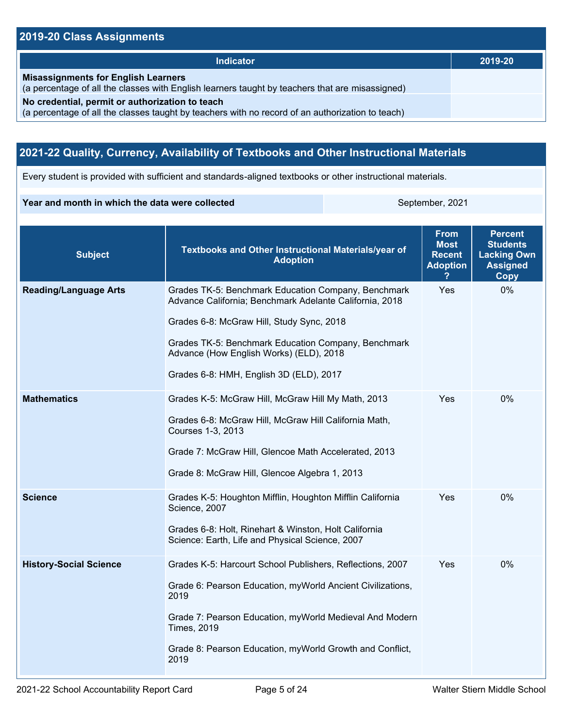## **2019-20 Class Assignments**

| <b>Indicator</b>                                                                                                                                    | 2019-20 |
|-----------------------------------------------------------------------------------------------------------------------------------------------------|---------|
| <b>Misassignments for English Learners</b><br>(a percentage of all the classes with English learners taught by teachers that are misassigned)       |         |
| No credential, permit or authorization to teach<br>(a percentage of all the classes taught by teachers with no record of an authorization to teach) |         |

## **2021-22 Quality, Currency, Availability of Textbooks and Other Instructional Materials**

Every student is provided with sufficient and standards-aligned textbooks or other instructional materials.

#### **Year and month in which the data were collected** September, 2021

| <b>Subject</b>                | <b>Textbooks and Other Instructional Materials/year of</b><br><b>Adoption</b>                                                                                                                                                                                                                            | <b>From</b><br><b>Most</b><br><b>Recent</b><br><b>Adoption</b> | <b>Percent</b><br><b>Students</b><br><b>Lacking Own</b><br><b>Assigned</b><br>Copy |
|-------------------------------|----------------------------------------------------------------------------------------------------------------------------------------------------------------------------------------------------------------------------------------------------------------------------------------------------------|----------------------------------------------------------------|------------------------------------------------------------------------------------|
| <b>Reading/Language Arts</b>  | Grades TK-5: Benchmark Education Company, Benchmark<br>Advance California; Benchmark Adelante California, 2018<br>Grades 6-8: McGraw Hill, Study Sync, 2018<br>Grades TK-5: Benchmark Education Company, Benchmark<br>Advance (How English Works) (ELD), 2018<br>Grades 6-8: HMH, English 3D (ELD), 2017 | Yes                                                            | 0%                                                                                 |
| <b>Mathematics</b>            | Grades K-5: McGraw Hill, McGraw Hill My Math, 2013<br>Grades 6-8: McGraw Hill, McGraw Hill California Math,<br>Courses 1-3, 2013<br>Grade 7: McGraw Hill, Glencoe Math Accelerated, 2013<br>Grade 8: McGraw Hill, Glencoe Algebra 1, 2013                                                                | Yes                                                            | 0%                                                                                 |
| <b>Science</b>                | Grades K-5: Houghton Mifflin, Houghton Mifflin California<br>Science, 2007<br>Grades 6-8: Holt, Rinehart & Winston, Holt California<br>Science: Earth, Life and Physical Science, 2007                                                                                                                   | Yes                                                            | $0\%$                                                                              |
| <b>History-Social Science</b> | Grades K-5: Harcourt School Publishers, Reflections, 2007<br>Grade 6: Pearson Education, myWorld Ancient Civilizations,<br>2019<br>Grade 7: Pearson Education, myWorld Medieval And Modern<br><b>Times, 2019</b><br>Grade 8: Pearson Education, myWorld Growth and Conflict,<br>2019                     | Yes                                                            | 0%                                                                                 |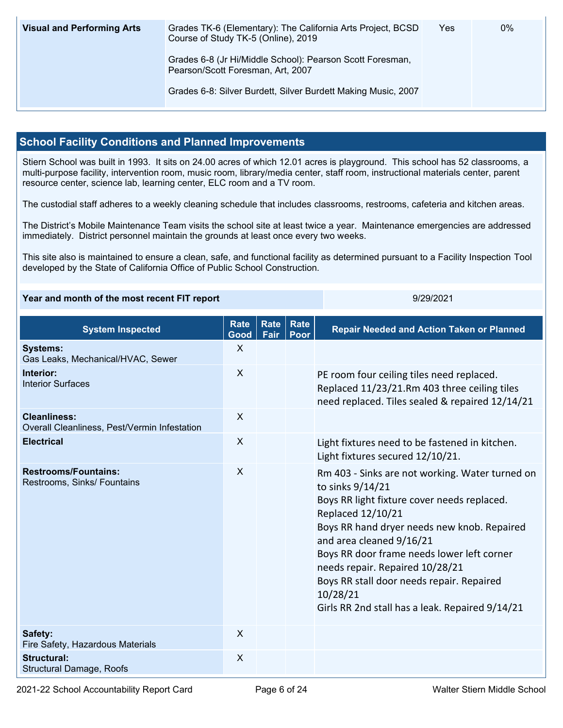| <b>Visual and Performing Arts</b> | Grades TK-6 (Elementary): The California Arts Project, BCSD<br>Course of Study TK-5 (Online), 2019 | Yes | 0% |
|-----------------------------------|----------------------------------------------------------------------------------------------------|-----|----|
|                                   | Grades 6-8 (Jr Hi/Middle School): Pearson Scott Foresman,<br>Pearson/Scott Foresman, Art, 2007     |     |    |
|                                   | Grades 6-8: Silver Burdett, Silver Burdett Making Music, 2007                                      |     |    |

## **School Facility Conditions and Planned Improvements**

Stiern School was built in 1993. It sits on 24.00 acres of which 12.01 acres is playground. This school has 52 classrooms, a multi-purpose facility, intervention room, music room, library/media center, staff room, instructional materials center, parent resource center, science lab, learning center, ELC room and a TV room.

The custodial staff adheres to a weekly cleaning schedule that includes classrooms, restrooms, cafeteria and kitchen areas.

The District's Mobile Maintenance Team visits the school site at least twice a year. Maintenance emergencies are addressed immediately. District personnel maintain the grounds at least once every two weeks.

This site also is maintained to ensure a clean, safe, and functional facility as determined pursuant to a Facility Inspection Tool developed by the State of California Office of Public School Construction.

#### **Year and month of the most recent FIT report** 9/29/2021

| <b>System Inspected</b>                                             | <b>Rate</b><br>Good       | <b>Rate</b><br>Fair | Rate<br>Poor | <b>Repair Needed and Action Taken or Planned</b>                                                                                                                                                                                                                                                                                                                                                                |
|---------------------------------------------------------------------|---------------------------|---------------------|--------------|-----------------------------------------------------------------------------------------------------------------------------------------------------------------------------------------------------------------------------------------------------------------------------------------------------------------------------------------------------------------------------------------------------------------|
| <b>Systems:</b><br>Gas Leaks, Mechanical/HVAC, Sewer                | X                         |                     |              |                                                                                                                                                                                                                                                                                                                                                                                                                 |
| Interior:<br><b>Interior Surfaces</b>                               | $\sf X$                   |                     |              | PE room four ceiling tiles need replaced.<br>Replaced 11/23/21.Rm 403 three ceiling tiles<br>need replaced. Tiles sealed & repaired 12/14/21                                                                                                                                                                                                                                                                    |
| <b>Cleanliness:</b><br>Overall Cleanliness, Pest/Vermin Infestation | $\boldsymbol{\mathsf{X}}$ |                     |              |                                                                                                                                                                                                                                                                                                                                                                                                                 |
| <b>Electrical</b>                                                   | $\sf X$                   |                     |              | Light fixtures need to be fastened in kitchen.<br>Light fixtures secured 12/10/21.                                                                                                                                                                                                                                                                                                                              |
| <b>Restrooms/Fountains:</b><br>Restrooms, Sinks/ Fountains          | X                         |                     |              | Rm 403 - Sinks are not working. Water turned on<br>to sinks 9/14/21<br>Boys RR light fixture cover needs replaced.<br>Replaced 12/10/21<br>Boys RR hand dryer needs new knob. Repaired<br>and area cleaned 9/16/21<br>Boys RR door frame needs lower left corner<br>needs repair. Repaired 10/28/21<br>Boys RR stall door needs repair. Repaired<br>10/28/21<br>Girls RR 2nd stall has a leak. Repaired 9/14/21 |
| Safety:<br>Fire Safety, Hazardous Materials                         | $\boldsymbol{\mathsf{X}}$ |                     |              |                                                                                                                                                                                                                                                                                                                                                                                                                 |
| <b>Structural:</b><br><b>Structural Damage, Roofs</b>               | $\boldsymbol{\mathsf{X}}$ |                     |              |                                                                                                                                                                                                                                                                                                                                                                                                                 |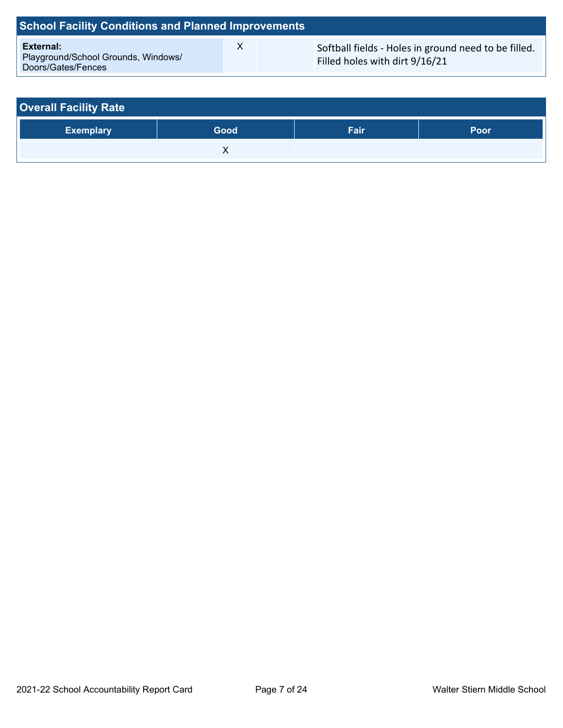| <b>School Facility Conditions and Planned Improvements</b>             |   |                                                                                        |  |
|------------------------------------------------------------------------|---|----------------------------------------------------------------------------------------|--|
| External:<br>Playground/School Grounds, Windows/<br>Doors/Gates/Fences | x | Softball fields - Holes in ground need to be filled.<br>Filled holes with dirt 9/16/21 |  |

| <b>Overall Facility Rate</b> |      |      |      |
|------------------------------|------|------|------|
| <b>Exemplary</b>             | Good | Fair | Poor |
|                              | ↗    |      |      |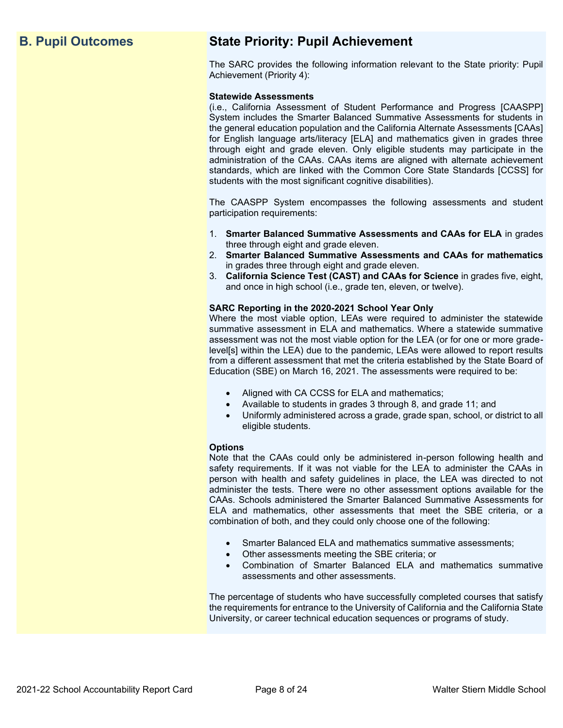## **B. Pupil Outcomes State Priority: Pupil Achievement**

The SARC provides the following information relevant to the State priority: Pupil Achievement (Priority 4):

#### **Statewide Assessments**

(i.e., California Assessment of Student Performance and Progress [CAASPP] System includes the Smarter Balanced Summative Assessments for students in the general education population and the California Alternate Assessments [CAAs] for English language arts/literacy [ELA] and mathematics given in grades three through eight and grade eleven. Only eligible students may participate in the administration of the CAAs. CAAs items are aligned with alternate achievement standards, which are linked with the Common Core State Standards [CCSS] for students with the most significant cognitive disabilities).

The CAASPP System encompasses the following assessments and student participation requirements:

- 1. **Smarter Balanced Summative Assessments and CAAs for ELA** in grades three through eight and grade eleven.
- 2. **Smarter Balanced Summative Assessments and CAAs for mathematics** in grades three through eight and grade eleven.
- 3. **California Science Test (CAST) and CAAs for Science** in grades five, eight, and once in high school (i.e., grade ten, eleven, or twelve).

#### **SARC Reporting in the 2020-2021 School Year Only**

Where the most viable option, LEAs were required to administer the statewide summative assessment in ELA and mathematics. Where a statewide summative assessment was not the most viable option for the LEA (or for one or more gradelevel[s] within the LEA) due to the pandemic, LEAs were allowed to report results from a different assessment that met the criteria established by the State Board of Education (SBE) on March 16, 2021. The assessments were required to be:

- Aligned with CA CCSS for ELA and mathematics;
- Available to students in grades 3 through 8, and grade 11; and
- Uniformly administered across a grade, grade span, school, or district to all eligible students.

#### **Options**

Note that the CAAs could only be administered in-person following health and safety requirements. If it was not viable for the LEA to administer the CAAs in person with health and safety guidelines in place, the LEA was directed to not administer the tests. There were no other assessment options available for the CAAs. Schools administered the Smarter Balanced Summative Assessments for ELA and mathematics, other assessments that meet the SBE criteria, or a combination of both, and they could only choose one of the following:

- Smarter Balanced ELA and mathematics summative assessments;
- Other assessments meeting the SBE criteria; or
- Combination of Smarter Balanced ELA and mathematics summative assessments and other assessments.

The percentage of students who have successfully completed courses that satisfy the requirements for entrance to the University of California and the California State University, or career technical education sequences or programs of study.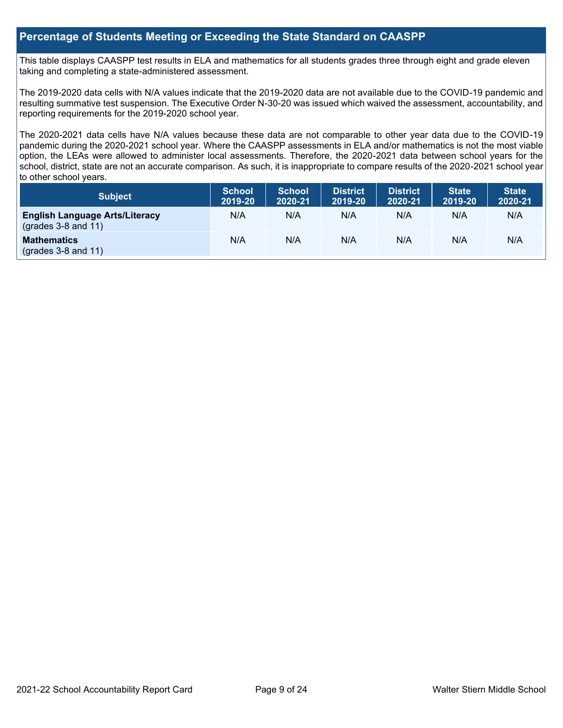## **Percentage of Students Meeting or Exceeding the State Standard on CAASPP**

This table displays CAASPP test results in ELA and mathematics for all students grades three through eight and grade eleven taking and completing a state-administered assessment.

The 2019-2020 data cells with N/A values indicate that the 2019-2020 data are not available due to the COVID-19 pandemic and resulting summative test suspension. The Executive Order N-30-20 was issued which waived the assessment, accountability, and reporting requirements for the 2019-2020 school year.

The 2020-2021 data cells have N/A values because these data are not comparable to other year data due to the COVID-19 pandemic during the 2020-2021 school year. Where the CAASPP assessments in ELA and/or mathematics is not the most viable option, the LEAs were allowed to administer local assessments. Therefore, the 2020-2021 data between school years for the school, district, state are not an accurate comparison. As such, it is inappropriate to compare results of the 2020-2021 school year to other school years.

| Subject                                                              | <b>School</b><br>2019-20 | <b>School</b><br>2020-21 | <b>District</b><br>2019-20 | <b>District</b><br>2020-21 | <b>State</b><br>2019-20 | <b>State</b><br>2020-21 |
|----------------------------------------------------------------------|--------------------------|--------------------------|----------------------------|----------------------------|-------------------------|-------------------------|
| <b>English Language Arts/Literacy</b><br>$\left($ grades 3-8 and 11) | N/A                      | N/A                      | N/A                        | N/A                        | N/A                     | N/A                     |
| <b>Mathematics</b><br>$(grades 3-8 and 11)$                          | N/A                      | N/A                      | N/A                        | N/A                        | N/A                     | N/A                     |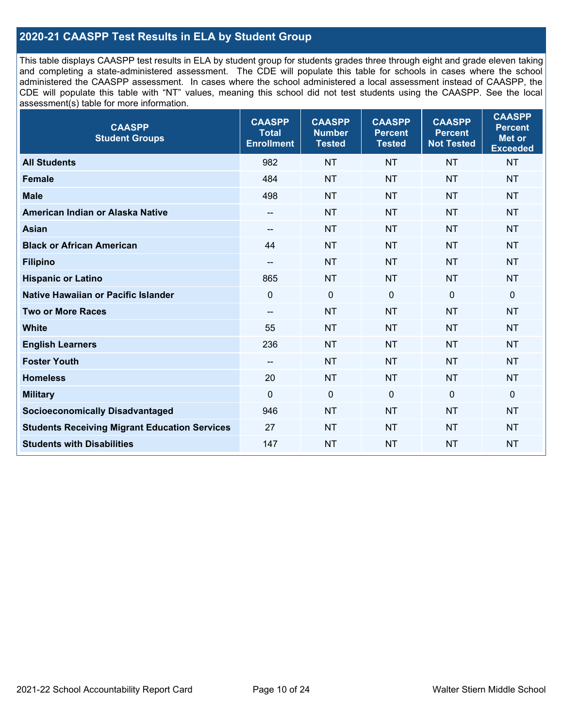## **2020-21 CAASPP Test Results in ELA by Student Group**

This table displays CAASPP test results in ELA by student group for students grades three through eight and grade eleven taking and completing a state-administered assessment. The CDE will populate this table for schools in cases where the school administered the CAASPP assessment. In cases where the school administered a local assessment instead of CAASPP, the CDE will populate this table with "NT" values, meaning this school did not test students using the CAASPP. See the local assessment(s) table for more information.

| <b>CAASPP</b><br><b>Student Groups</b>               | <b>CAASPP</b><br><b>Total</b><br><b>Enrollment</b> | <b>CAASPP</b><br><b>Number</b><br><b>Tested</b> | <b>CAASPP</b><br><b>Percent</b><br><b>Tested</b> | <b>CAASPP</b><br><b>Percent</b><br><b>Not Tested</b> | <b>CAASPP</b><br><b>Percent</b><br>Met or<br><b>Exceeded</b> |
|------------------------------------------------------|----------------------------------------------------|-------------------------------------------------|--------------------------------------------------|------------------------------------------------------|--------------------------------------------------------------|
| <b>All Students</b>                                  | 982                                                | <b>NT</b>                                       | <b>NT</b>                                        | <b>NT</b>                                            | <b>NT</b>                                                    |
| <b>Female</b>                                        | 484                                                | <b>NT</b>                                       | <b>NT</b>                                        | <b>NT</b>                                            | <b>NT</b>                                                    |
| <b>Male</b>                                          | 498                                                | <b>NT</b>                                       | <b>NT</b>                                        | <b>NT</b>                                            | <b>NT</b>                                                    |
| American Indian or Alaska Native                     | $\overline{\phantom{a}}$                           | <b>NT</b>                                       | <b>NT</b>                                        | <b>NT</b>                                            | <b>NT</b>                                                    |
| <b>Asian</b>                                         | --                                                 | <b>NT</b>                                       | <b>NT</b>                                        | <b>NT</b>                                            | <b>NT</b>                                                    |
| <b>Black or African American</b>                     | 44                                                 | <b>NT</b>                                       | <b>NT</b>                                        | <b>NT</b>                                            | <b>NT</b>                                                    |
| <b>Filipino</b>                                      | $-$                                                | <b>NT</b>                                       | <b>NT</b>                                        | <b>NT</b>                                            | <b>NT</b>                                                    |
| <b>Hispanic or Latino</b>                            | 865                                                | <b>NT</b>                                       | <b>NT</b>                                        | <b>NT</b>                                            | <b>NT</b>                                                    |
| Native Hawaiian or Pacific Islander                  | $\mathbf 0$                                        | $\mathbf 0$                                     | $\mathbf 0$                                      | $\mathbf 0$                                          | 0                                                            |
| <b>Two or More Races</b>                             | $\overline{\phantom{a}}$                           | <b>NT</b>                                       | <b>NT</b>                                        | <b>NT</b>                                            | <b>NT</b>                                                    |
| <b>White</b>                                         | 55                                                 | <b>NT</b>                                       | <b>NT</b>                                        | <b>NT</b>                                            | <b>NT</b>                                                    |
| <b>English Learners</b>                              | 236                                                | <b>NT</b>                                       | <b>NT</b>                                        | <b>NT</b>                                            | <b>NT</b>                                                    |
| <b>Foster Youth</b>                                  | $-$                                                | <b>NT</b>                                       | <b>NT</b>                                        | <b>NT</b>                                            | <b>NT</b>                                                    |
| <b>Homeless</b>                                      | 20                                                 | <b>NT</b>                                       | <b>NT</b>                                        | <b>NT</b>                                            | <b>NT</b>                                                    |
| <b>Military</b>                                      | $\mathbf 0$                                        | $\mathbf 0$                                     | $\mathbf 0$                                      | $\mathbf 0$                                          | 0                                                            |
| <b>Socioeconomically Disadvantaged</b>               | 946                                                | <b>NT</b>                                       | <b>NT</b>                                        | <b>NT</b>                                            | <b>NT</b>                                                    |
| <b>Students Receiving Migrant Education Services</b> | 27                                                 | <b>NT</b>                                       | <b>NT</b>                                        | <b>NT</b>                                            | <b>NT</b>                                                    |
| <b>Students with Disabilities</b>                    | 147                                                | <b>NT</b>                                       | <b>NT</b>                                        | <b>NT</b>                                            | <b>NT</b>                                                    |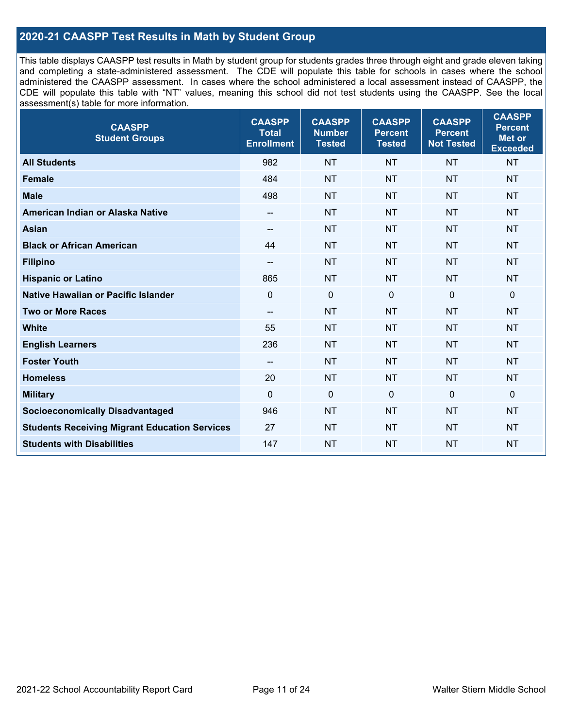## **2020-21 CAASPP Test Results in Math by Student Group**

This table displays CAASPP test results in Math by student group for students grades three through eight and grade eleven taking and completing a state-administered assessment. The CDE will populate this table for schools in cases where the school administered the CAASPP assessment. In cases where the school administered a local assessment instead of CAASPP, the CDE will populate this table with "NT" values, meaning this school did not test students using the CAASPP. See the local assessment(s) table for more information.

| <b>CAASPP</b><br><b>Student Groups</b>               | <b>CAASPP</b><br><b>Total</b><br><b>Enrollment</b> | <b>CAASPP</b><br><b>Number</b><br><b>Tested</b> | <b>CAASPP</b><br><b>Percent</b><br><b>Tested</b> | <b>CAASPP</b><br><b>Percent</b><br><b>Not Tested</b> | <b>CAASPP</b><br><b>Percent</b><br>Met or<br><b>Exceeded</b> |
|------------------------------------------------------|----------------------------------------------------|-------------------------------------------------|--------------------------------------------------|------------------------------------------------------|--------------------------------------------------------------|
| <b>All Students</b>                                  | 982                                                | <b>NT</b>                                       | <b>NT</b>                                        | <b>NT</b>                                            | <b>NT</b>                                                    |
| <b>Female</b>                                        | 484                                                | <b>NT</b>                                       | <b>NT</b>                                        | <b>NT</b>                                            | <b>NT</b>                                                    |
| <b>Male</b>                                          | 498                                                | <b>NT</b>                                       | <b>NT</b>                                        | <b>NT</b>                                            | <b>NT</b>                                                    |
| American Indian or Alaska Native                     | $\qquad \qquad -$                                  | <b>NT</b>                                       | <b>NT</b>                                        | <b>NT</b>                                            | <b>NT</b>                                                    |
| <b>Asian</b>                                         |                                                    | <b>NT</b>                                       | <b>NT</b>                                        | <b>NT</b>                                            | <b>NT</b>                                                    |
| <b>Black or African American</b>                     | 44                                                 | <b>NT</b>                                       | <b>NT</b>                                        | <b>NT</b>                                            | <b>NT</b>                                                    |
| <b>Filipino</b>                                      | --                                                 | <b>NT</b>                                       | <b>NT</b>                                        | <b>NT</b>                                            | <b>NT</b>                                                    |
| <b>Hispanic or Latino</b>                            | 865                                                | <b>NT</b>                                       | <b>NT</b>                                        | <b>NT</b>                                            | <b>NT</b>                                                    |
| <b>Native Hawaiian or Pacific Islander</b>           | $\mathbf 0$                                        | $\mathbf 0$                                     | $\overline{0}$                                   | $\overline{0}$                                       | 0                                                            |
| <b>Two or More Races</b>                             | $\overline{\phantom{a}}$                           | <b>NT</b>                                       | <b>NT</b>                                        | <b>NT</b>                                            | <b>NT</b>                                                    |
| <b>White</b>                                         | 55                                                 | <b>NT</b>                                       | <b>NT</b>                                        | <b>NT</b>                                            | <b>NT</b>                                                    |
| <b>English Learners</b>                              | 236                                                | <b>NT</b>                                       | <b>NT</b>                                        | <b>NT</b>                                            | <b>NT</b>                                                    |
| <b>Foster Youth</b>                                  | $\overline{\phantom{a}}$                           | <b>NT</b>                                       | <b>NT</b>                                        | <b>NT</b>                                            | <b>NT</b>                                                    |
| <b>Homeless</b>                                      | 20                                                 | <b>NT</b>                                       | <b>NT</b>                                        | <b>NT</b>                                            | <b>NT</b>                                                    |
| <b>Military</b>                                      | $\mathbf 0$                                        | $\mathbf 0$                                     | $\mathbf 0$                                      | $\mathbf 0$                                          | 0                                                            |
| <b>Socioeconomically Disadvantaged</b>               | 946                                                | <b>NT</b>                                       | <b>NT</b>                                        | <b>NT</b>                                            | <b>NT</b>                                                    |
| <b>Students Receiving Migrant Education Services</b> | 27                                                 | <b>NT</b>                                       | <b>NT</b>                                        | <b>NT</b>                                            | <b>NT</b>                                                    |
| <b>Students with Disabilities</b>                    | 147                                                | <b>NT</b>                                       | <b>NT</b>                                        | <b>NT</b>                                            | <b>NT</b>                                                    |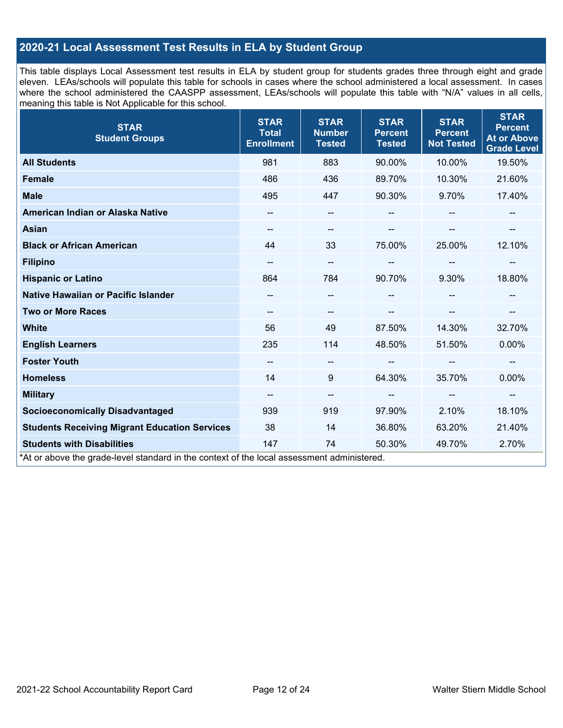## **2020-21 Local Assessment Test Results in ELA by Student Group**

This table displays Local Assessment test results in ELA by student group for students grades three through eight and grade eleven. LEAs/schools will populate this table for schools in cases where the school administered a local assessment. In cases where the school administered the CAASPP assessment, LEAs/schools will populate this table with "N/A" values in all cells, meaning this table is Not Applicable for this school.

| <b>STAR</b><br><b>Student Groups</b>                                                                                            | <b>STAR</b><br><b>Total</b><br><b>Enrollment</b> | <b>STAR</b><br><b>Number</b><br><b>Tested</b> | <b>STAR</b><br><b>Percent</b><br><b>Tested</b> | <b>STAR</b><br><b>Percent</b><br><b>Not Tested</b> | <b>STAR</b><br><b>Percent</b><br><b>At or Above</b><br><b>Grade Level</b> |
|---------------------------------------------------------------------------------------------------------------------------------|--------------------------------------------------|-----------------------------------------------|------------------------------------------------|----------------------------------------------------|---------------------------------------------------------------------------|
| <b>All Students</b>                                                                                                             | 981                                              | 883                                           | 90.00%                                         | 10.00%                                             | 19.50%                                                                    |
| <b>Female</b>                                                                                                                   | 486                                              | 436                                           | 89.70%                                         | 10.30%                                             | 21.60%                                                                    |
| <b>Male</b>                                                                                                                     | 495                                              | 447                                           | 90.30%                                         | 9.70%                                              | 17.40%                                                                    |
| American Indian or Alaska Native                                                                                                | --                                               | --                                            |                                                |                                                    | --                                                                        |
| <b>Asian</b>                                                                                                                    | --                                               | --                                            |                                                |                                                    |                                                                           |
| <b>Black or African American</b>                                                                                                | 44                                               | 33                                            | 75.00%                                         | 25.00%                                             | 12.10%                                                                    |
| <b>Filipino</b>                                                                                                                 | --                                               | --                                            |                                                | --                                                 | --                                                                        |
| <b>Hispanic or Latino</b>                                                                                                       | 864                                              | 784                                           | 90.70%                                         | 9.30%                                              | 18.80%                                                                    |
| Native Hawaiian or Pacific Islander                                                                                             |                                                  | --                                            |                                                |                                                    |                                                                           |
| <b>Two or More Races</b>                                                                                                        |                                                  | --                                            |                                                |                                                    | --                                                                        |
| <b>White</b>                                                                                                                    | 56                                               | 49                                            | 87.50%                                         | 14.30%                                             | 32.70%                                                                    |
| <b>English Learners</b>                                                                                                         | 235                                              | 114                                           | 48.50%                                         | 51.50%                                             | 0.00%                                                                     |
| <b>Foster Youth</b>                                                                                                             | --                                               | --                                            |                                                | $\overline{\phantom{a}}$                           | --                                                                        |
| <b>Homeless</b>                                                                                                                 | 14                                               | 9                                             | 64.30%                                         | 35.70%                                             | 0.00%                                                                     |
| <b>Military</b>                                                                                                                 | --                                               | $\overline{\phantom{m}}$                      | $\overline{\phantom{a}}$                       | $\hspace{0.05cm}$                                  | --                                                                        |
| <b>Socioeconomically Disadvantaged</b>                                                                                          | 939                                              | 919                                           | 97.90%                                         | 2.10%                                              | 18.10%                                                                    |
| <b>Students Receiving Migrant Education Services</b>                                                                            | 38                                               | 14                                            | 36.80%                                         | 63.20%                                             | 21.40%                                                                    |
| <b>Students with Disabilities</b><br>*At or above the grade-level standard in the context of the local assessment administered. | 147                                              | 74                                            | 50.30%                                         | 49.70%                                             | 2.70%                                                                     |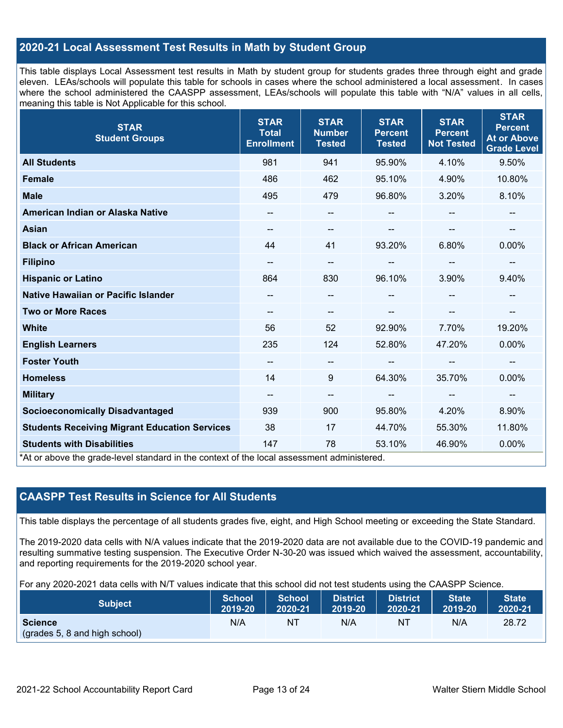## **2020-21 Local Assessment Test Results in Math by Student Group**

This table displays Local Assessment test results in Math by student group for students grades three through eight and grade eleven. LEAs/schools will populate this table for schools in cases where the school administered a local assessment. In cases where the school administered the CAASPP assessment, LEAs/schools will populate this table with "N/A" values in all cells, meaning this table is Not Applicable for this school.

| <b>STAR</b><br><b>Student Groups</b>                                                                                            | <b>STAR</b><br><b>Total</b><br><b>Enrollment</b> | <b>STAR</b><br><b>Number</b><br><b>Tested</b> | <b>STAR</b><br><b>Percent</b><br><b>Tested</b> | <b>STAR</b><br><b>Percent</b><br><b>Not Tested</b> | <b>STAR</b><br><b>Percent</b><br><b>At or Above</b><br><b>Grade Level</b> |
|---------------------------------------------------------------------------------------------------------------------------------|--------------------------------------------------|-----------------------------------------------|------------------------------------------------|----------------------------------------------------|---------------------------------------------------------------------------|
| <b>All Students</b>                                                                                                             | 981                                              | 941                                           | 95.90%                                         | 4.10%                                              | 9.50%                                                                     |
| <b>Female</b>                                                                                                                   | 486                                              | 462                                           | 95.10%                                         | 4.90%                                              | 10.80%                                                                    |
| <b>Male</b>                                                                                                                     | 495                                              | 479                                           | 96.80%                                         | 3.20%                                              | 8.10%                                                                     |
| American Indian or Alaska Native                                                                                                | $\overline{\phantom{a}}$                         | $- -$                                         |                                                |                                                    |                                                                           |
| <b>Asian</b>                                                                                                                    | --                                               | --                                            |                                                | $\sim$                                             | --                                                                        |
| <b>Black or African American</b>                                                                                                | 44                                               | 41                                            | 93.20%                                         | 6.80%                                              | 0.00%                                                                     |
| <b>Filipino</b>                                                                                                                 | --                                               | --                                            |                                                | --                                                 | --                                                                        |
| <b>Hispanic or Latino</b>                                                                                                       | 864                                              | 830                                           | 96.10%                                         | 3.90%                                              | 9.40%                                                                     |
| Native Hawaiian or Pacific Islander                                                                                             |                                                  | --                                            |                                                |                                                    |                                                                           |
| <b>Two or More Races</b>                                                                                                        |                                                  | --                                            |                                                |                                                    | --                                                                        |
| <b>White</b>                                                                                                                    | 56                                               | 52                                            | 92.90%                                         | 7.70%                                              | 19.20%                                                                    |
| <b>English Learners</b>                                                                                                         | 235                                              | 124                                           | 52.80%                                         | 47.20%                                             | 0.00%                                                                     |
| <b>Foster Youth</b>                                                                                                             | $\qquad \qquad -$                                | --                                            |                                                | $\sim$                                             | --                                                                        |
| <b>Homeless</b>                                                                                                                 | 14                                               | 9                                             | 64.30%                                         | 35.70%                                             | 0.00%                                                                     |
| <b>Military</b>                                                                                                                 | --                                               | --                                            | --                                             | $\overline{\phantom{a}}$                           | --                                                                        |
| <b>Socioeconomically Disadvantaged</b>                                                                                          | 939                                              | 900                                           | 95.80%                                         | 4.20%                                              | 8.90%                                                                     |
| <b>Students Receiving Migrant Education Services</b>                                                                            | 38                                               | 17                                            | 44.70%                                         | 55.30%                                             | 11.80%                                                                    |
| <b>Students with Disabilities</b><br>*At or above the grade-level standard in the context of the local assessment administered. | 147                                              | 78                                            | 53.10%                                         | 46.90%                                             | 0.00%                                                                     |

## **CAASPP Test Results in Science for All Students**

This table displays the percentage of all students grades five, eight, and High School meeting or exceeding the State Standard.

The 2019-2020 data cells with N/A values indicate that the 2019-2020 data are not available due to the COVID-19 pandemic and resulting summative testing suspension. The Executive Order N-30-20 was issued which waived the assessment, accountability, and reporting requirements for the 2019-2020 school year.

For any 2020-2021 data cells with N/T values indicate that this school did not test students using the CAASPP Science.

| <b>Subject</b>                                  | <b>School</b> | <b>School</b> | <b>District</b> | District | <b>State</b> | <b>State</b> |
|-------------------------------------------------|---------------|---------------|-----------------|----------|--------------|--------------|
|                                                 | 2019-20       | 2020-21       | 2019-20         | 2020-21  | 2019-20      | 2020-21      |
| <b>Science</b><br>(grades 5, 8 and high school) | N/A           | ΝT            | N/A             | ΝT       | N/A          | 28.72        |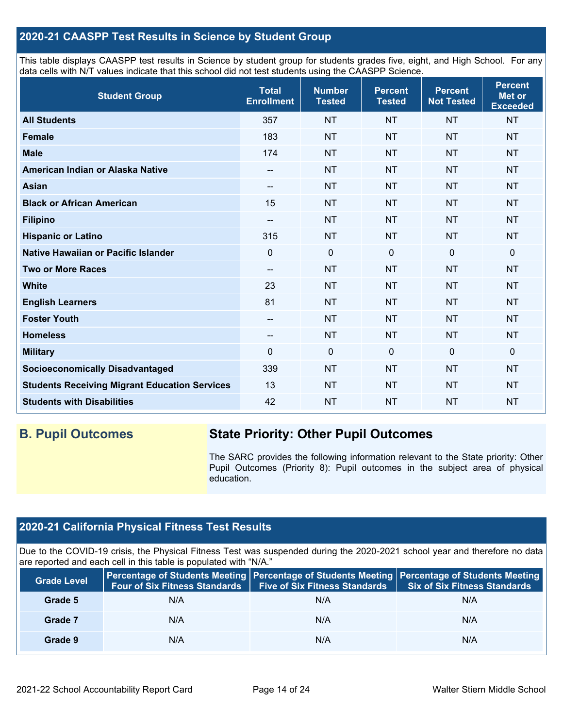## **2020-21 CAASPP Test Results in Science by Student Group**

This table displays CAASPP test results in Science by student group for students grades five, eight, and High School. For any data cells with N/T values indicate that this school did not test students using the CAASPP Science.

| <b>Student Group</b>                                 | <b>Total</b><br><b>Enrollment</b> | <b>Number</b><br><b>Tested</b> | <b>Percent</b><br><b>Tested</b> | <b>Percent</b><br><b>Not Tested</b> | <b>Percent</b><br>Met or<br><b>Exceeded</b> |
|------------------------------------------------------|-----------------------------------|--------------------------------|---------------------------------|-------------------------------------|---------------------------------------------|
| <b>All Students</b>                                  | 357                               | <b>NT</b>                      | <b>NT</b>                       | <b>NT</b>                           | <b>NT</b>                                   |
| <b>Female</b>                                        | 183                               | <b>NT</b>                      | <b>NT</b>                       | <b>NT</b>                           | <b>NT</b>                                   |
| <b>Male</b>                                          | 174                               | <b>NT</b>                      | <b>NT</b>                       | <b>NT</b>                           | <b>NT</b>                                   |
| American Indian or Alaska Native                     | $\qquad \qquad -$                 | <b>NT</b>                      | <b>NT</b>                       | <b>NT</b>                           | <b>NT</b>                                   |
| <b>Asian</b>                                         | --                                | <b>NT</b>                      | <b>NT</b>                       | <b>NT</b>                           | <b>NT</b>                                   |
| <b>Black or African American</b>                     | 15                                | <b>NT</b>                      | <b>NT</b>                       | <b>NT</b>                           | <b>NT</b>                                   |
| <b>Filipino</b>                                      | $\qquad \qquad -$                 | <b>NT</b>                      | <b>NT</b>                       | <b>NT</b>                           | <b>NT</b>                                   |
| <b>Hispanic or Latino</b>                            | 315                               | <b>NT</b>                      | <b>NT</b>                       | <b>NT</b>                           | <b>NT</b>                                   |
| Native Hawaiian or Pacific Islander                  | $\mathbf 0$                       | $\mathbf 0$                    | $\mathbf{0}$                    | $\mathbf{0}$                        | 0                                           |
| <b>Two or More Races</b>                             | $\overline{\phantom{a}}$          | <b>NT</b>                      | <b>NT</b>                       | <b>NT</b>                           | <b>NT</b>                                   |
| <b>White</b>                                         | 23                                | <b>NT</b>                      | <b>NT</b>                       | <b>NT</b>                           | <b>NT</b>                                   |
| <b>English Learners</b>                              | 81                                | <b>NT</b>                      | <b>NT</b>                       | <b>NT</b>                           | <b>NT</b>                                   |
| <b>Foster Youth</b>                                  | --                                | <b>NT</b>                      | <b>NT</b>                       | <b>NT</b>                           | <b>NT</b>                                   |
| <b>Homeless</b>                                      | --                                | <b>NT</b>                      | <b>NT</b>                       | <b>NT</b>                           | <b>NT</b>                                   |
| <b>Military</b>                                      | $\Omega$                          | $\mathbf 0$                    | $\mathbf 0$                     | $\mathbf 0$                         | 0                                           |
| <b>Socioeconomically Disadvantaged</b>               | 339                               | <b>NT</b>                      | <b>NT</b>                       | <b>NT</b>                           | <b>NT</b>                                   |
| <b>Students Receiving Migrant Education Services</b> | 13                                | <b>NT</b>                      | <b>NT</b>                       | <b>NT</b>                           | <b>NT</b>                                   |
| <b>Students with Disabilities</b>                    | 42                                | <b>NT</b>                      | <b>NT</b>                       | <b>NT</b>                           | <b>NT</b>                                   |

## **B. Pupil Outcomes State Priority: Other Pupil Outcomes**

The SARC provides the following information relevant to the State priority: Other Pupil Outcomes (Priority 8): Pupil outcomes in the subject area of physical education.

## **2020-21 California Physical Fitness Test Results**

Due to the COVID-19 crisis, the Physical Fitness Test was suspended during the 2020-2021 school year and therefore no data are reported and each cell in this table is populated with "N/A."

| <b>Grade Level</b> | <b>Four of Six Fitness Standards</b> | <b>Five of Six Fitness Standards</b> | Percentage of Students Meeting   Percentage of Students Meeting   Percentage of Students Meeting<br><b>Six of Six Fitness Standards</b> |
|--------------------|--------------------------------------|--------------------------------------|-----------------------------------------------------------------------------------------------------------------------------------------|
| Grade 5            | N/A                                  | N/A                                  | N/A                                                                                                                                     |
| Grade 7            | N/A                                  | N/A                                  | N/A                                                                                                                                     |
| Grade 9            | N/A                                  | N/A                                  | N/A                                                                                                                                     |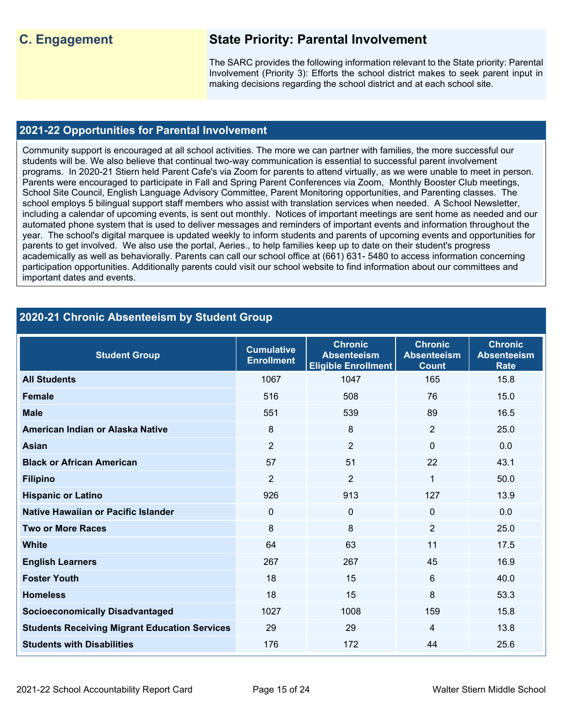## **C. Engagement State Priority: Parental Involvement**

The SARC provides the following information relevant to the State priority: Parental Involvement (Priority 3): Efforts the school district makes to seek parent input in making decisions regarding the school district and at each school site.

## **2021-22 Opportunities for Parental Involvement**

Community support is encouraged at all school activities. The more we can partner with families, the more successful our students will be. We also believe that continual two-way communication is essential to successful parent involvement programs. In 2020-21 Stiern held Parent Cafe's via Zoom for parents to attend virtually, as we were unable to meet in person. Parents were encouraged to participate in Fall and Spring Parent Conferences via Zoom, Monthly Booster Club meetings, School Site Council, English Language Advisory Committee, Parent Monitoring opportunities, and Parenting classes. The school employs 5 bilingual support staff members who assist with translation services when needed. A School Newsletter, including a calendar of upcoming events, is sent out monthly. Notices of important meetings are sent home as needed and our automated phone system that is used to deliver messages and reminders of important events and information throughout the year. The school's digital marquee is updated weekly to inform students and parents of upcoming events and opportunities for parents to get involved. We also use the portal, Aeries., to help families keep up to date on their student's progress academically as well as behaviorally. Parents can call our school office at (661) 631- 5480 to access information concerning participation opportunities. Additionally parents could visit our school website to find information about our committees and important dates and events.

## **2020-21 Chronic Absenteeism by Student Group**

| <b>Student Group</b>                                 | <b>Cumulative</b><br><b>Enrollment</b> | <b>Chronic</b><br><b>Absenteeism</b><br><b>Eligible Enrollment</b> | <b>Chronic</b><br><b>Absenteeism</b><br><b>Count</b> | <b>Chronic</b><br><b>Absenteeism</b><br><b>Rate</b> |
|------------------------------------------------------|----------------------------------------|--------------------------------------------------------------------|------------------------------------------------------|-----------------------------------------------------|
| <b>All Students</b>                                  | 1067                                   | 1047                                                               | 165                                                  | 15.8                                                |
| <b>Female</b>                                        | 516                                    | 508                                                                | 76                                                   | 15.0                                                |
| <b>Male</b>                                          | 551                                    | 539                                                                | 89                                                   | 16.5                                                |
| American Indian or Alaska Native                     | 8                                      | 8                                                                  | 2                                                    | 25.0                                                |
| Asian                                                | $\overline{2}$                         | 2                                                                  | $\Omega$                                             | 0.0                                                 |
| <b>Black or African American</b>                     | 57                                     | 51                                                                 | 22                                                   | 43.1                                                |
| <b>Filipino</b>                                      | $\overline{2}$                         | $\overline{2}$                                                     | 1                                                    | 50.0                                                |
| <b>Hispanic or Latino</b>                            | 926                                    | 913                                                                | 127                                                  | 13.9                                                |
| Native Hawaiian or Pacific Islander                  | $\mathbf 0$                            | 0                                                                  | 0                                                    | 0.0                                                 |
| <b>Two or More Races</b>                             | 8                                      | 8                                                                  | 2                                                    | 25.0                                                |
| <b>White</b>                                         | 64                                     | 63                                                                 | 11                                                   | 17.5                                                |
| <b>English Learners</b>                              | 267                                    | 267                                                                | 45                                                   | 16.9                                                |
| <b>Foster Youth</b>                                  | 18                                     | 15                                                                 | 6                                                    | 40.0                                                |
| <b>Homeless</b>                                      | 18                                     | 15                                                                 | 8                                                    | 53.3                                                |
| <b>Socioeconomically Disadvantaged</b>               | 1027                                   | 1008                                                               | 159                                                  | 15.8                                                |
| <b>Students Receiving Migrant Education Services</b> | 29                                     | 29                                                                 | 4                                                    | 13.8                                                |
| <b>Students with Disabilities</b>                    | 176                                    | 172                                                                | 44                                                   | 25.6                                                |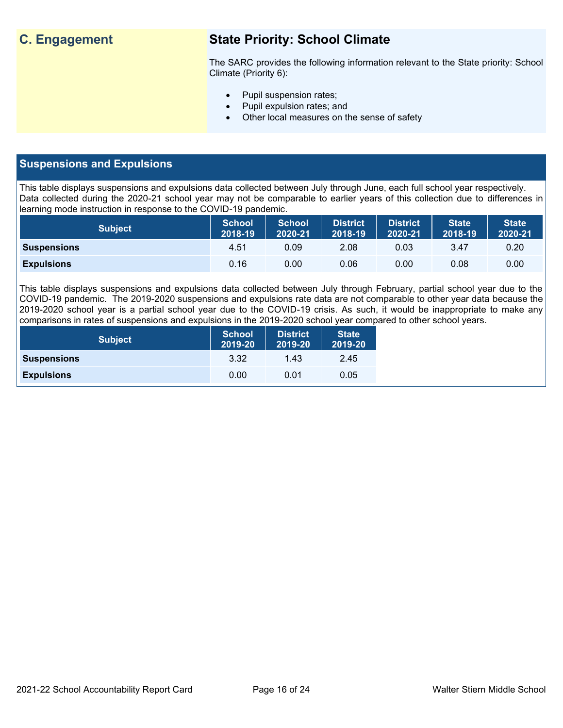## **C. Engagement State Priority: School Climate**

The SARC provides the following information relevant to the State priority: School Climate (Priority 6):

- Pupil suspension rates;
- Pupil expulsion rates; and
- Other local measures on the sense of safety

## **Suspensions and Expulsions**

This table displays suspensions and expulsions data collected between July through June, each full school year respectively. Data collected during the 2020-21 school year may not be comparable to earlier years of this collection due to differences in learning mode instruction in response to the COVID-19 pandemic.

| <b>Subject</b>     | <b>School</b><br>2018-19 | <b>School</b><br>2020-21 | <b>District</b><br>2018-19 | <b>District</b><br>2020-21 | <b>State</b><br>2018-19 | <b>State</b><br>2020-21 |
|--------------------|--------------------------|--------------------------|----------------------------|----------------------------|-------------------------|-------------------------|
| <b>Suspensions</b> | 4.51                     | 0.09                     | 2.08                       | 0.03                       | 3.47                    | 0.20                    |
| <b>Expulsions</b>  | 0.16                     | 0.00                     | 0.06                       | 0.00                       | 0.08                    | 0.00                    |

This table displays suspensions and expulsions data collected between July through February, partial school year due to the COVID-19 pandemic. The 2019-2020 suspensions and expulsions rate data are not comparable to other year data because the 2019-2020 school year is a partial school year due to the COVID-19 crisis. As such, it would be inappropriate to make any comparisons in rates of suspensions and expulsions in the 2019-2020 school year compared to other school years.

| <b>Subject</b>     | <b>School</b><br>2019-20 | <b>District</b><br>2019-20 | <b>State</b><br>2019-20 |
|--------------------|--------------------------|----------------------------|-------------------------|
| <b>Suspensions</b> | 3.32                     | 1.43                       | 2.45                    |
| <b>Expulsions</b>  | 0.00                     | 0.01                       | 0.05                    |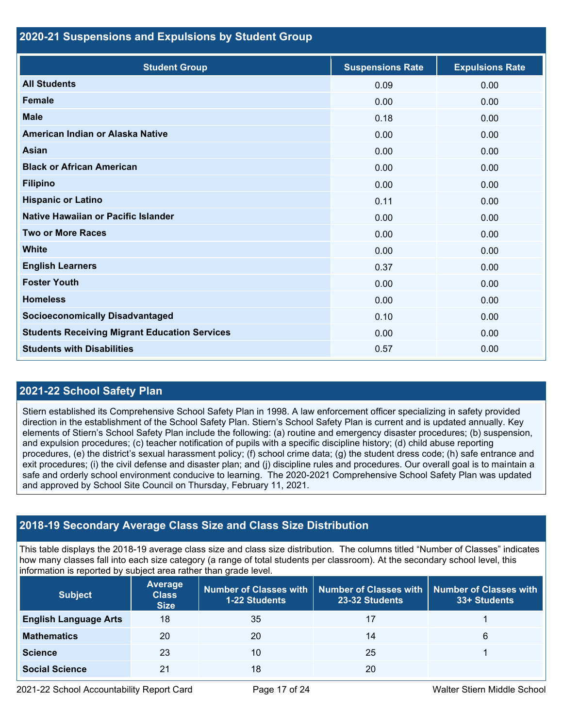## **2020-21 Suspensions and Expulsions by Student Group**

| <b>Student Group</b>                                 | <b>Suspensions Rate</b> | <b>Expulsions Rate</b> |
|------------------------------------------------------|-------------------------|------------------------|
| <b>All Students</b>                                  | 0.09                    | 0.00                   |
| <b>Female</b>                                        | 0.00                    | 0.00                   |
| <b>Male</b>                                          | 0.18                    | 0.00                   |
| American Indian or Alaska Native                     | 0.00                    | 0.00                   |
| <b>Asian</b>                                         | 0.00                    | 0.00                   |
| <b>Black or African American</b>                     | 0.00                    | 0.00                   |
| <b>Filipino</b>                                      | 0.00                    | 0.00                   |
| <b>Hispanic or Latino</b>                            | 0.11                    | 0.00                   |
| Native Hawaiian or Pacific Islander                  | 0.00                    | 0.00                   |
| <b>Two or More Races</b>                             | 0.00                    | 0.00                   |
| <b>White</b>                                         | 0.00                    | 0.00                   |
| <b>English Learners</b>                              | 0.37                    | 0.00                   |
| <b>Foster Youth</b>                                  | 0.00                    | 0.00                   |
| <b>Homeless</b>                                      | 0.00                    | 0.00                   |
| <b>Socioeconomically Disadvantaged</b>               | 0.10                    | 0.00                   |
| <b>Students Receiving Migrant Education Services</b> | 0.00                    | 0.00                   |
| <b>Students with Disabilities</b>                    | 0.57                    | 0.00                   |

## **2021-22 School Safety Plan**

Stiern established its Comprehensive School Safety Plan in 1998. A law enforcement officer specializing in safety provided direction in the establishment of the School Safety Plan. Stiern's School Safety Plan is current and is updated annually. Key elements of Stiern's School Safety Plan include the following: (a) routine and emergency disaster procedures; (b) suspension, and expulsion procedures; (c) teacher notification of pupils with a specific discipline history; (d) child abuse reporting procedures, (e) the district's sexual harassment policy; (f) school crime data; (g) the student dress code; (h) safe entrance and exit procedures; (i) the civil defense and disaster plan; and (j) discipline rules and procedures. Our overall goal is to maintain a safe and orderly school environment conducive to learning. The 2020-2021 Comprehensive School Safety Plan was updated and approved by School Site Council on Thursday, February 11, 2021.

## **2018-19 Secondary Average Class Size and Class Size Distribution**

This table displays the 2018-19 average class size and class size distribution. The columns titled "Number of Classes" indicates how many classes fall into each size category (a range of total students per classroom). At the secondary school level, this information is reported by subject area rather than grade level.

| <b>Subject</b>               | <b>Average</b><br><b>Class</b><br><b>Size</b> | 1-22 Students | Number of Classes with Number of Classes with<br>23-32 Students | Number of Classes with<br>33+ Students |
|------------------------------|-----------------------------------------------|---------------|-----------------------------------------------------------------|----------------------------------------|
| <b>English Language Arts</b> | 18                                            | 35            | 17                                                              |                                        |
| <b>Mathematics</b>           | 20                                            | 20            | 14                                                              | 6                                      |
| <b>Science</b>               | 23                                            | 10            | 25                                                              |                                        |
| <b>Social Science</b>        | 21                                            | 18            | 20                                                              |                                        |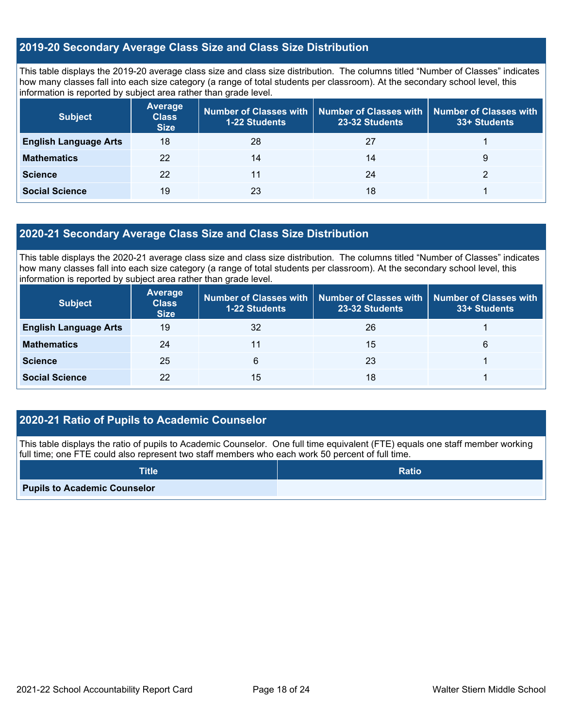## **2019-20 Secondary Average Class Size and Class Size Distribution**

This table displays the 2019-20 average class size and class size distribution. The columns titled "Number of Classes" indicates how many classes fall into each size category (a range of total students per classroom). At the secondary school level, this information is reported by subject area rather than grade level.

| <b>Subject</b>               | <b>Average</b><br><b>Class</b><br><b>Size</b> | <b>1-22 Students</b> | Number of Classes with   Number of Classes with   Number of Classes with<br>23-32 Students | 33+ Students |
|------------------------------|-----------------------------------------------|----------------------|--------------------------------------------------------------------------------------------|--------------|
| <b>English Language Arts</b> | 18                                            | 28                   | 27                                                                                         |              |
| <b>Mathematics</b>           | 22                                            | 14                   | 14                                                                                         | 9            |
| <b>Science</b>               | 22                                            |                      | 24                                                                                         |              |
| <b>Social Science</b>        | 19                                            | 23                   | 18                                                                                         |              |

## **2020-21 Secondary Average Class Size and Class Size Distribution**

This table displays the 2020-21 average class size and class size distribution. The columns titled "Number of Classes" indicates how many classes fall into each size category (a range of total students per classroom). At the secondary school level, this information is reported by subject area rather than grade level.

| <b>Subject</b>               | <b>Average</b><br><b>Class</b><br><b>Size</b> | <b>1-22 Students</b> | Number of Classes with   Number of Classes with<br>23-32 Students | Number of Classes with<br>33+ Students |
|------------------------------|-----------------------------------------------|----------------------|-------------------------------------------------------------------|----------------------------------------|
| <b>English Language Arts</b> | 19                                            | 32                   | 26                                                                |                                        |
| <b>Mathematics</b>           | 24                                            |                      | 15                                                                | 6                                      |
| <b>Science</b>               | 25                                            | 6                    | 23                                                                |                                        |
| <b>Social Science</b>        | 22                                            | 15                   | 18                                                                |                                        |

## **2020-21 Ratio of Pupils to Academic Counselor**

This table displays the ratio of pupils to Academic Counselor. One full time equivalent (FTE) equals one staff member working full time; one FTE could also represent two staff members who each work 50 percent of full time.

| <b>Title</b>                        | <b>Ratio</b> |
|-------------------------------------|--------------|
| <b>Pupils to Academic Counselor</b> |              |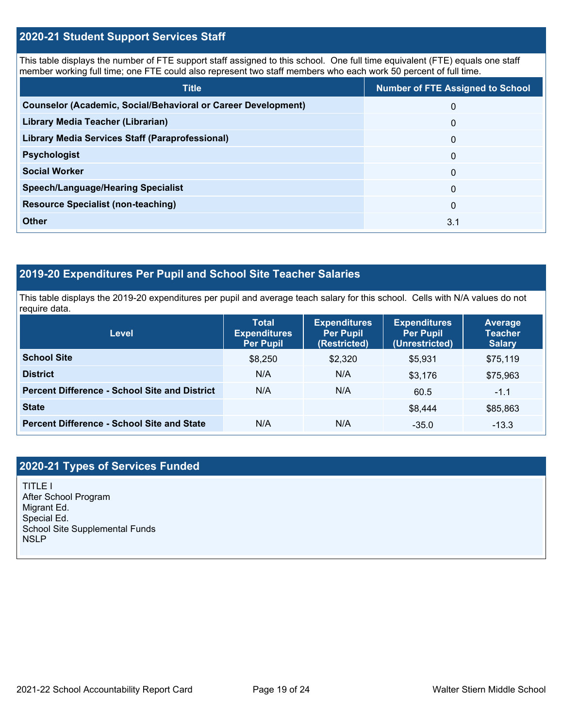## **2020-21 Student Support Services Staff**

This table displays the number of FTE support staff assigned to this school. One full time equivalent (FTE) equals one staff member working full time; one FTE could also represent two staff members who each work 50 percent of full time.

| <b>Title</b>                                                         | <b>Number of FTE Assigned to School</b> |
|----------------------------------------------------------------------|-----------------------------------------|
| <b>Counselor (Academic, Social/Behavioral or Career Development)</b> | 0                                       |
| Library Media Teacher (Librarian)                                    | $\mathbf{0}$                            |
| <b>Library Media Services Staff (Paraprofessional)</b>               | $\mathbf 0$                             |
| <b>Psychologist</b>                                                  | $\mathbf 0$                             |
| <b>Social Worker</b>                                                 | $\Omega$                                |
| <b>Speech/Language/Hearing Specialist</b>                            | $\Omega$                                |
| <b>Resource Specialist (non-teaching)</b>                            | $\mathbf{0}$                            |
| <b>Other</b>                                                         | 3.1                                     |

## **2019-20 Expenditures Per Pupil and School Site Teacher Salaries**

This table displays the 2019-20 expenditures per pupil and average teach salary for this school. Cells with N/A values do not require data.

| <b>Level</b>                                         | <b>Total</b><br><b>Expenditures</b><br><b>Per Pupil</b> | <b>Expenditures</b><br><b>Per Pupil</b><br>(Restricted) | <b>Expenditures</b><br><b>Per Pupil</b><br>(Unrestricted) | Average<br><b>Teacher</b><br><b>Salary</b> |
|------------------------------------------------------|---------------------------------------------------------|---------------------------------------------------------|-----------------------------------------------------------|--------------------------------------------|
| <b>School Site</b>                                   | \$8,250                                                 | \$2,320                                                 | \$5,931                                                   | \$75,119                                   |
| <b>District</b>                                      | N/A                                                     | N/A                                                     | \$3,176                                                   | \$75,963                                   |
| <b>Percent Difference - School Site and District</b> | N/A                                                     | N/A                                                     | 60.5                                                      | $-1.1$                                     |
| <b>State</b>                                         |                                                         |                                                         | \$8,444                                                   | \$85,863                                   |
| <b>Percent Difference - School Site and State</b>    | N/A                                                     | N/A                                                     | $-35.0$                                                   | $-13.3$                                    |

## **2020-21 Types of Services Funded**

TITLE I After School Program Migrant Ed. Special Ed. School Site Supplemental Funds NSLP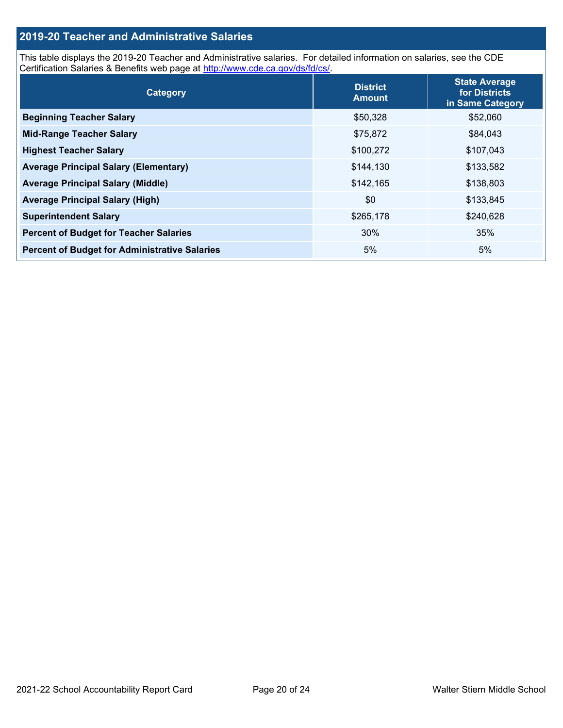## **2019-20 Teacher and Administrative Salaries**

This table displays the 2019-20 Teacher and Administrative salaries. For detailed information on salaries, see the CDE Certification Salaries & Benefits web page at [http://www.cde.ca.gov/ds/fd/cs/.](http://www.cde.ca.gov/ds/fd/cs/)

| Category                                             | <b>District</b><br><b>Amount</b> | <b>State Average</b><br>for Districts<br>in Same Category |
|------------------------------------------------------|----------------------------------|-----------------------------------------------------------|
| <b>Beginning Teacher Salary</b>                      | \$50,328                         | \$52,060                                                  |
| <b>Mid-Range Teacher Salary</b>                      | \$75,872                         | \$84,043                                                  |
| <b>Highest Teacher Salary</b>                        | \$100,272                        | \$107,043                                                 |
| <b>Average Principal Salary (Elementary)</b>         | \$144,130                        | \$133,582                                                 |
| <b>Average Principal Salary (Middle)</b>             | \$142,165                        | \$138,803                                                 |
| <b>Average Principal Salary (High)</b>               | \$0                              | \$133,845                                                 |
| <b>Superintendent Salary</b>                         | \$265,178                        | \$240,628                                                 |
| <b>Percent of Budget for Teacher Salaries</b>        | 30%                              | 35%                                                       |
| <b>Percent of Budget for Administrative Salaries</b> | 5%                               | 5%                                                        |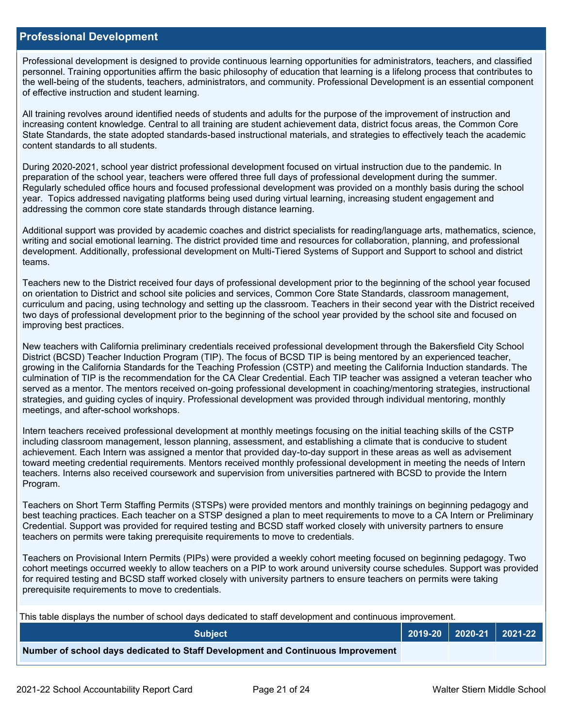### **Professional Development**

Professional development is designed to provide continuous learning opportunities for administrators, teachers, and classified personnel. Training opportunities affirm the basic philosophy of education that learning is a lifelong process that contributes to the well-being of the students, teachers, administrators, and community. Professional Development is an essential component of effective instruction and student learning.

All training revolves around identified needs of students and adults for the purpose of the improvement of instruction and increasing content knowledge. Central to all training are student achievement data, district focus areas, the Common Core State Standards, the state adopted standards-based instructional materials, and strategies to effectively teach the academic content standards to all students.

During 2020-2021, school year district professional development focused on virtual instruction due to the pandemic. In preparation of the school year, teachers were offered three full days of professional development during the summer. Regularly scheduled office hours and focused professional development was provided on a monthly basis during the school year. Topics addressed navigating platforms being used during virtual learning, increasing student engagement and addressing the common core state standards through distance learning.

Additional support was provided by academic coaches and district specialists for reading/language arts, mathematics, science, writing and social emotional learning. The district provided time and resources for collaboration, planning, and professional development. Additionally, professional development on Multi-Tiered Systems of Support and Support to school and district teams.

Teachers new to the District received four days of professional development prior to the beginning of the school year focused on orientation to District and school site policies and services, Common Core State Standards, classroom management, curriculum and pacing, using technology and setting up the classroom. Teachers in their second year with the District received two days of professional development prior to the beginning of the school year provided by the school site and focused on improving best practices.

New teachers with California preliminary credentials received professional development through the Bakersfield City School District (BCSD) Teacher Induction Program (TIP). The focus of BCSD TIP is being mentored by an experienced teacher, growing in the California Standards for the Teaching Profession (CSTP) and meeting the California Induction standards. The culmination of TIP is the recommendation for the CA Clear Credential. Each TIP teacher was assigned a veteran teacher who served as a mentor. The mentors received on-going professional development in coaching/mentoring strategies, instructional strategies, and guiding cycles of inquiry. Professional development was provided through individual mentoring, monthly meetings, and after-school workshops.

Intern teachers received professional development at monthly meetings focusing on the initial teaching skills of the CSTP including classroom management, lesson planning, assessment, and establishing a climate that is conducive to student achievement. Each Intern was assigned a mentor that provided day-to-day support in these areas as well as advisement toward meeting credential requirements. Mentors received monthly professional development in meeting the needs of Intern teachers. Interns also received coursework and supervision from universities partnered with BCSD to provide the Intern Program.

Teachers on Short Term Staffing Permits (STSPs) were provided mentors and monthly trainings on beginning pedagogy and best teaching practices. Each teacher on a STSP designed a plan to meet requirements to move to a CA Intern or Preliminary Credential. Support was provided for required testing and BCSD staff worked closely with university partners to ensure teachers on permits were taking prerequisite requirements to move to credentials.

Teachers on Provisional Intern Permits (PIPs) were provided a weekly cohort meeting focused on beginning pedagogy. Two cohort meetings occurred weekly to allow teachers on a PIP to work around university course schedules. Support was provided for required testing and BCSD staff worked closely with university partners to ensure teachers on permits were taking prerequisite requirements to move to credentials.

This table displays the number of school days dedicated to staff development and continuous improvement.

| <b>Subiect</b>                                                                  |  | 2019-20   2020-21   2021-22 |
|---------------------------------------------------------------------------------|--|-----------------------------|
| Number of school days dedicated to Staff Development and Continuous Improvement |  |                             |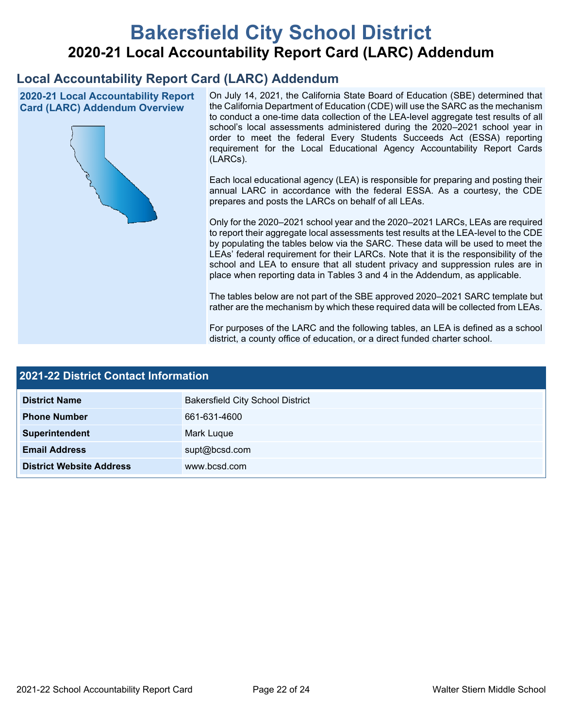# **Bakersfield City School District 2020-21 Local Accountability Report Card (LARC) Addendum**

## **Local Accountability Report Card (LARC) Addendum**

**2020-21 Local Accountability Report Card (LARC) Addendum Overview**



On July 14, 2021, the California State Board of Education (SBE) determined that the California Department of Education (CDE) will use the SARC as the mechanism to conduct a one-time data collection of the LEA-level aggregate test results of all school's local assessments administered during the 2020–2021 school year in order to meet the federal Every Students Succeeds Act (ESSA) reporting requirement for the Local Educational Agency Accountability Report Cards (LARCs).

Each local educational agency (LEA) is responsible for preparing and posting their annual LARC in accordance with the federal ESSA. As a courtesy, the CDE prepares and posts the LARCs on behalf of all LEAs.

Only for the 2020–2021 school year and the 2020–2021 LARCs, LEAs are required to report their aggregate local assessments test results at the LEA-level to the CDE by populating the tables below via the SARC. These data will be used to meet the LEAs' federal requirement for their LARCs. Note that it is the responsibility of the school and LEA to ensure that all student privacy and suppression rules are in place when reporting data in Tables 3 and 4 in the Addendum, as applicable.

The tables below are not part of the SBE approved 2020–2021 SARC template but rather are the mechanism by which these required data will be collected from LEAs.

For purposes of the LARC and the following tables, an LEA is defined as a school district, a county office of education, or a direct funded charter school.

| <b>2021-22 District Contact Information</b> |                                         |  |  |  |
|---------------------------------------------|-----------------------------------------|--|--|--|
| <b>District Name</b>                        | <b>Bakersfield City School District</b> |  |  |  |
| <b>Phone Number</b>                         | 661-631-4600                            |  |  |  |
| Superintendent                              | Mark Luque                              |  |  |  |
| <b>Email Address</b>                        | supt@bcsd.com                           |  |  |  |
| <b>District Website Address</b>             | www.bcsd.com                            |  |  |  |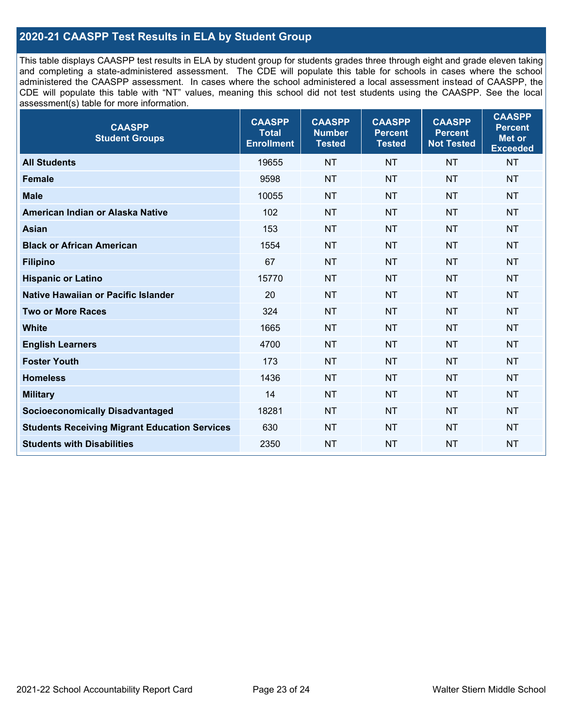## **2020-21 CAASPP Test Results in ELA by Student Group**

This table displays CAASPP test results in ELA by student group for students grades three through eight and grade eleven taking and completing a state-administered assessment. The CDE will populate this table for schools in cases where the school administered the CAASPP assessment. In cases where the school administered a local assessment instead of CAASPP, the CDE will populate this table with "NT" values, meaning this school did not test students using the CAASPP. See the local assessment(s) table for more information.

| <b>CAASPP</b><br><b>Student Groups</b>               | <b>CAASPP</b><br><b>Total</b><br><b>Enrollment</b> | <b>CAASPP</b><br><b>Number</b><br><b>Tested</b> | <b>CAASPP</b><br><b>Percent</b><br><b>Tested</b> | <b>CAASPP</b><br><b>Percent</b><br><b>Not Tested</b> | <b>CAASPP</b><br><b>Percent</b><br>Met or<br><b>Exceeded</b> |
|------------------------------------------------------|----------------------------------------------------|-------------------------------------------------|--------------------------------------------------|------------------------------------------------------|--------------------------------------------------------------|
| <b>All Students</b>                                  | 19655                                              | <b>NT</b>                                       | <b>NT</b>                                        | <b>NT</b>                                            | <b>NT</b>                                                    |
| <b>Female</b>                                        | 9598                                               | <b>NT</b>                                       | <b>NT</b>                                        | <b>NT</b>                                            | <b>NT</b>                                                    |
| <b>Male</b>                                          | 10055                                              | <b>NT</b>                                       | <b>NT</b>                                        | <b>NT</b>                                            | <b>NT</b>                                                    |
| American Indian or Alaska Native                     | 102                                                | <b>NT</b>                                       | <b>NT</b>                                        | <b>NT</b>                                            | <b>NT</b>                                                    |
| <b>Asian</b>                                         | 153                                                | <b>NT</b>                                       | <b>NT</b>                                        | <b>NT</b>                                            | <b>NT</b>                                                    |
| <b>Black or African American</b>                     | 1554                                               | <b>NT</b>                                       | <b>NT</b>                                        | <b>NT</b>                                            | NT                                                           |
| <b>Filipino</b>                                      | 67                                                 | <b>NT</b>                                       | <b>NT</b>                                        | <b>NT</b>                                            | <b>NT</b>                                                    |
| <b>Hispanic or Latino</b>                            | 15770                                              | <b>NT</b>                                       | <b>NT</b>                                        | <b>NT</b>                                            | <b>NT</b>                                                    |
| Native Hawaiian or Pacific Islander                  | 20                                                 | <b>NT</b>                                       | <b>NT</b>                                        | <b>NT</b>                                            | <b>NT</b>                                                    |
| <b>Two or More Races</b>                             | 324                                                | <b>NT</b>                                       | <b>NT</b>                                        | <b>NT</b>                                            | <b>NT</b>                                                    |
| <b>White</b>                                         | 1665                                               | <b>NT</b>                                       | <b>NT</b>                                        | <b>NT</b>                                            | <b>NT</b>                                                    |
| <b>English Learners</b>                              | 4700                                               | <b>NT</b>                                       | <b>NT</b>                                        | <b>NT</b>                                            | <b>NT</b>                                                    |
| <b>Foster Youth</b>                                  | 173                                                | <b>NT</b>                                       | <b>NT</b>                                        | <b>NT</b>                                            | <b>NT</b>                                                    |
| <b>Homeless</b>                                      | 1436                                               | <b>NT</b>                                       | <b>NT</b>                                        | <b>NT</b>                                            | <b>NT</b>                                                    |
| <b>Military</b>                                      | 14                                                 | <b>NT</b>                                       | <b>NT</b>                                        | <b>NT</b>                                            | <b>NT</b>                                                    |
| <b>Socioeconomically Disadvantaged</b>               | 18281                                              | <b>NT</b>                                       | <b>NT</b>                                        | <b>NT</b>                                            | <b>NT</b>                                                    |
| <b>Students Receiving Migrant Education Services</b> | 630                                                | <b>NT</b>                                       | <b>NT</b>                                        | <b>NT</b>                                            | NT                                                           |
| <b>Students with Disabilities</b>                    | 2350                                               | <b>NT</b>                                       | <b>NT</b>                                        | <b>NT</b>                                            | NT                                                           |